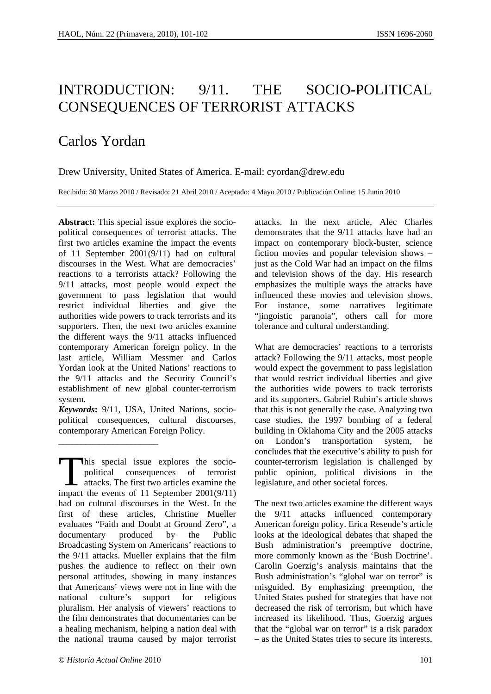## INTRODUCTION: 9/11. THE SOCIO-POLITICAL CONSEQUENCES OF TERRORIST ATTACKS

## Carlos Yordan

Drew University, United States of America. E-mail: cyordan@drew.edu

Recibido: 30 Marzo 2010 / Revisado: 21 Abril 2010 / Aceptado: 4 Mayo 2010 / Publicación Online: 15 Junio 2010

**Abstract:** This special issue explores the sociopolitical consequences of terrorist attacks. The first two articles examine the impact the events of 11 September 2001(9/11) had on cultural discourses in the West. What are democracies' reactions to a terrorists attack? Following the 9/11 attacks, most people would expect the government to pass legislation that would restrict individual liberties and give the authorities wide powers to track terrorists and its supporters. Then, the next two articles examine the different ways the 9/11 attacks influenced contemporary American foreign policy. In the last article, William Messmer and Carlos Yordan look at the United Nations' reactions to the 9/11 attacks and the Security Council's establishment of new global counter-terrorism system.

*Keywords***:** 9/11, USA, United Nations, sociopolitical consequences, cultural discourses, contemporary American Foreign Policy.

his special issue explores the sociopolitical consequences of terrorist attacks. The first two articles examine the This special issue explores the socio-<br>political consequences of terrorist<br>attacks. The first two articles examine the<br>impact the events of 11 September 2001(9/11) had on cultural discourses in the West. In the first of these articles, Christine Mueller evaluates "Faith and Doubt at Ground Zero", a documentary produced by the Public Broadcasting System on Americans' reactions to the 9/11 attacks. Mueller explains that the film pushes the audience to reflect on their own personal attitudes, showing in many instances that Americans' views were not in line with the national culture's support for religious pluralism. Her analysis of viewers' reactions to the film demonstrates that documentaries can be a healing mechanism, helping a nation deal with the national trauma caused by major terrorist

attacks. In the next article, Alec Charles demonstrates that the 9/11 attacks have had an impact on contemporary block-buster, science fiction movies and popular television shows – just as the Cold War had an impact on the films and television shows of the day. His research emphasizes the multiple ways the attacks have influenced these movies and television shows. For instance, some narratives legitimate "jingoistic paranoia", others call for more tolerance and cultural understanding.

What are democracies' reactions to a terrorists attack? Following the 9/11 attacks, most people would expect the government to pass legislation that would restrict individual liberties and give the authorities wide powers to track terrorists and its supporters. Gabriel Rubin's article shows that this is not generally the case. Analyzing two case studies, the 1997 bombing of a federal building in Oklahoma City and the 2005 attacks on London's transportation system, he concludes that the executive's ability to push for counter-terrorism legislation is challenged by public opinion, political divisions in the legislature, and other societal forces.

The next two articles examine the different ways the 9/11 attacks influenced contemporary American foreign policy. Erica Resende's article looks at the ideological debates that shaped the Bush administration's preemptive doctrine, more commonly known as the 'Bush Doctrine'. Carolin Goerzig's analysis maintains that the Bush administration's "global war on terror" is misguided. By emphasizing preemption, the United States pushed for strategies that have not decreased the risk of terrorism, but which have increased its likelihood. Thus, Goerzig argues that the "global war on terror" is a risk paradox – as the United States tries to secure its interests,

\_\_\_\_\_\_\_\_\_\_\_\_\_\_\_\_\_\_\_\_\_\_